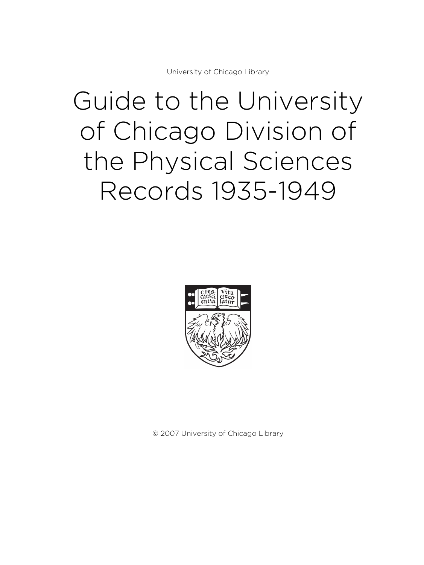University of Chicago Library

# Guide to the University of Chicago Division of the Physical Sciences Records 1935-1949



© 2007 University of Chicago Library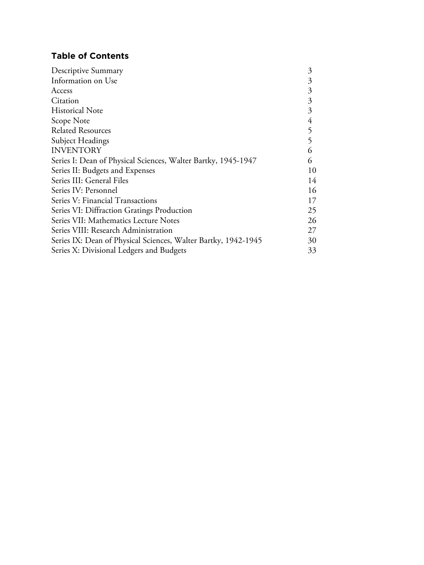# **Table of Contents**

| Descriptive Summary                                            |    |
|----------------------------------------------------------------|----|
| Information on Use                                             | 3  |
| Access                                                         | 3  |
| Citation                                                       | 3  |
| <b>Historical Note</b>                                         | 3  |
| Scope Note                                                     | 4  |
| <b>Related Resources</b>                                       | 5  |
| Subject Headings                                               | 5  |
| <b>INVENTORY</b>                                               | 6  |
| Series I: Dean of Physical Sciences, Walter Bartky, 1945-1947  | 6  |
| Series II: Budgets and Expenses                                | 10 |
| Series III: General Files                                      | 14 |
| Series IV: Personnel                                           | 16 |
| Series V: Financial Transactions                               | 17 |
| Series VI: Diffraction Gratings Production                     | 25 |
| Series VII: Mathematics Lecture Notes                          | 26 |
| Series VIII: Research Administration                           | 27 |
| Series IX: Dean of Physical Sciences, Walter Bartky, 1942-1945 | 30 |
| Series X: Divisional Ledgers and Budgets                       | 33 |
|                                                                |    |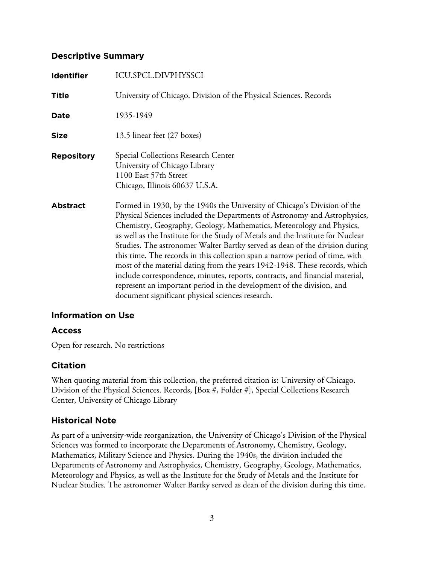## **Descriptive Summary**

| <b>Identifier</b> | ICU.SPCL.DIVPHYSSCI                                                                                                                                                                                                                                                                                                                                                                                                                                                                                                                                                                                                                                                                                                                                                       |
|-------------------|---------------------------------------------------------------------------------------------------------------------------------------------------------------------------------------------------------------------------------------------------------------------------------------------------------------------------------------------------------------------------------------------------------------------------------------------------------------------------------------------------------------------------------------------------------------------------------------------------------------------------------------------------------------------------------------------------------------------------------------------------------------------------|
| <b>Title</b>      | University of Chicago. Division of the Physical Sciences. Records                                                                                                                                                                                                                                                                                                                                                                                                                                                                                                                                                                                                                                                                                                         |
| <b>Date</b>       | 1935-1949                                                                                                                                                                                                                                                                                                                                                                                                                                                                                                                                                                                                                                                                                                                                                                 |
| <b>Size</b>       | 13.5 linear feet (27 boxes)                                                                                                                                                                                                                                                                                                                                                                                                                                                                                                                                                                                                                                                                                                                                               |
| <b>Repository</b> | Special Collections Research Center<br>University of Chicago Library<br>1100 East 57th Street<br>Chicago, Illinois 60637 U.S.A.                                                                                                                                                                                                                                                                                                                                                                                                                                                                                                                                                                                                                                           |
| <b>Abstract</b>   | Formed in 1930, by the 1940s the University of Chicago's Division of the<br>Physical Sciences included the Departments of Astronomy and Astrophysics,<br>Chemistry, Geography, Geology, Mathematics, Meteorology and Physics,<br>as well as the Institute for the Study of Metals and the Institute for Nuclear<br>Studies. The astronomer Walter Bartky served as dean of the division during<br>this time. The records in this collection span a narrow period of time, with<br>most of the material dating from the years 1942-1948. These records, which<br>include correspondence, minutes, reports, contracts, and financial material,<br>represent an important period in the development of the division, and<br>document significant physical sciences research. |

## **Information on Use**

## **Access**

Open for research. No restrictions

## **Citation**

When quoting material from this collection, the preferred citation is: University of Chicago. Division of the Physical Sciences. Records, [Box #, Folder #], Special Collections Research Center, University of Chicago Library

## **Historical Note**

As part of a university-wide reorganization, the University of Chicago's Division of the Physical Sciences was formed to incorporate the Departments of Astronomy, Chemistry, Geology, Mathematics, Military Science and Physics. During the 1940s, the division included the Departments of Astronomy and Astrophysics, Chemistry, Geography, Geology, Mathematics, Meteorology and Physics, as well as the Institute for the Study of Metals and the Institute for Nuclear Studies. The astronomer Walter Bartky served as dean of the division during this time.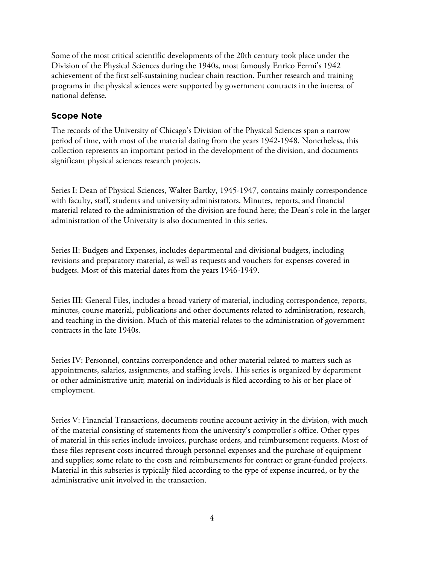Some of the most critical scientific developments of the 20th century took place under the Division of the Physical Sciences during the 1940s, most famously Enrico Fermi's 1942 achievement of the first self-sustaining nuclear chain reaction. Further research and training programs in the physical sciences were supported by government contracts in the interest of national defense.

## **Scope Note**

The records of the University of Chicago's Division of the Physical Sciences span a narrow period of time, with most of the material dating from the years 1942-1948. Nonetheless, this collection represents an important period in the development of the division, and documents significant physical sciences research projects.

Series I: Dean of Physical Sciences, Walter Bartky, 1945-1947, contains mainly correspondence with faculty, staff, students and university administrators. Minutes, reports, and financial material related to the administration of the division are found here; the Dean's role in the larger administration of the University is also documented in this series.

Series II: Budgets and Expenses, includes departmental and divisional budgets, including revisions and preparatory material, as well as requests and vouchers for expenses covered in budgets. Most of this material dates from the years 1946-1949.

Series III: General Files, includes a broad variety of material, including correspondence, reports, minutes, course material, publications and other documents related to administration, research, and teaching in the division. Much of this material relates to the administration of government contracts in the late 1940s.

Series IV: Personnel, contains correspondence and other material related to matters such as appointments, salaries, assignments, and staffing levels. This series is organized by department or other administrative unit; material on individuals is filed according to his or her place of employment.

Series V: Financial Transactions, documents routine account activity in the division, with much of the material consisting of statements from the university's comptroller's office. Other types of material in this series include invoices, purchase orders, and reimbursement requests. Most of these files represent costs incurred through personnel expenses and the purchase of equipment and supplies; some relate to the costs and reimbursements for contract or grant-funded projects. Material in this subseries is typically filed according to the type of expense incurred, or by the administrative unit involved in the transaction.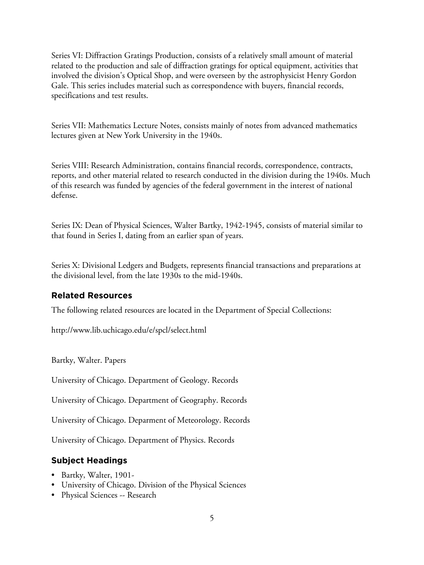Series VI: Diffraction Gratings Production, consists of a relatively small amount of material related to the production and sale of diffraction gratings for optical equipment, activities that involved the division's Optical Shop, and were overseen by the astrophysicist Henry Gordon Gale. This series includes material such as correspondence with buyers, financial records, specifications and test results.

Series VII: Mathematics Lecture Notes, consists mainly of notes from advanced mathematics lectures given at New York University in the 1940s.

Series VIII: Research Administration, contains financial records, correspondence, contracts, reports, and other material related to research conducted in the division during the 1940s. Much of this research was funded by agencies of the federal government in the interest of national defense.

Series IX: Dean of Physical Sciences, Walter Bartky, 1942-1945, consists of material similar to that found in Series I, dating from an earlier span of years.

Series X: Divisional Ledgers and Budgets, represents financial transactions and preparations at the divisional level, from the late 1930s to the mid-1940s.

## **Related Resources**

The following related resources are located in the Department of Special Collections:

http://www.lib.uchicago.edu/e/spcl/select.html

Bartky, Walter. Papers

University of Chicago. Department of Geology. Records

University of Chicago. Department of Geography. Records

University of Chicago. Deparment of Meteorology. Records

University of Chicago. Department of Physics. Records

## **Subject Headings**

- Bartky, Walter, 1901-
- University of Chicago. Division of the Physical Sciences
- Physical Sciences -- Research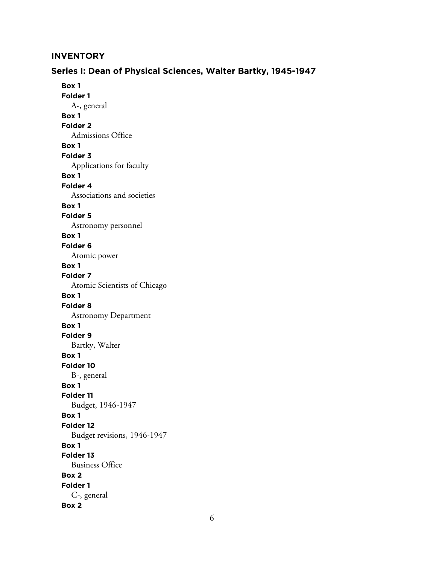## **INVENTORY**

## **Series I: Dean of Physical Sciences, Walter Bartky, 1945-1947**

**Box 1 Folder 1** A-, general **Box 1 Folder 2** Admissions Office **Box 1 Folder 3** Applications for faculty **Box 1 Folder 4** Associations and societies **Box 1 Folder 5** Astronomy personnel **Box 1 Folder 6** Atomic power **Box 1 Folder 7** Atomic Scientists of Chicago **Box 1 Folder 8** Astronomy Department **Box 1 Folder 9** Bartky, Walter **Box 1 Folder 10** B-, general **Box 1 Folder 11** Budget, 1946-1947 **Box 1 Folder 12** Budget revisions, 1946-1947 **Box 1 Folder 13** Business Office **Box 2 Folder 1** C-, general **Box 2**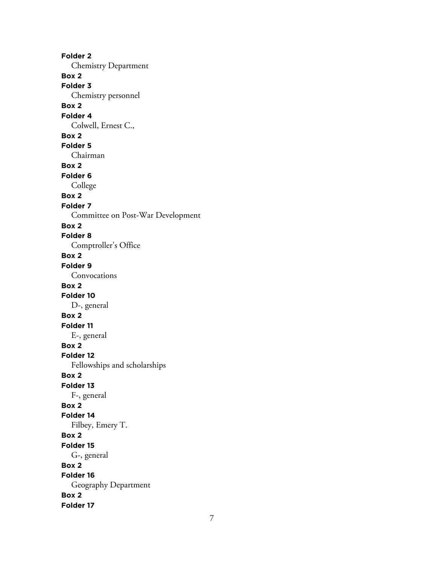**Folder 2** Chemistry Department **Box 2 Folder 3** Chemistry personnel **Box 2 Folder 4** Colwell, Ernest C., **Box 2 Folder 5** Chairman **Box 2 Folder 6** College **Box 2 Folder 7** Committee on Post-War Development **Box 2 Folder 8** Comptroller's Office **Box 2 Folder 9** Convocations **Box 2 Folder 10** D-, general **Box 2 Folder 11** E-, general **Box 2 Folder 12** Fellowships and scholarships **Box 2 Folder 13** F-, general **Box 2 Folder 14** Filbey, Emery T. **Box 2 Folder 15** G-, general **Box 2 Folder 16** Geography Department **Box 2 Folder 17**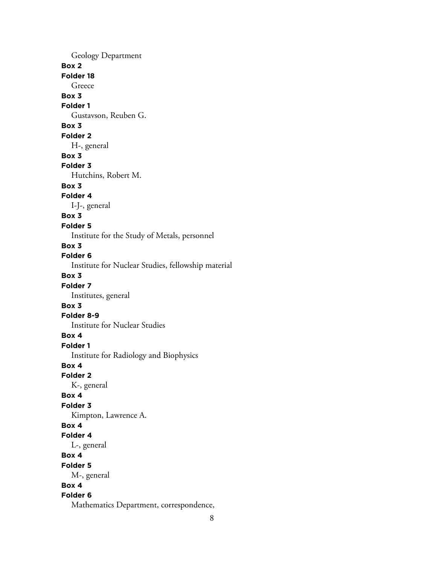Geology Department **Box 2 Folder 18** Greece **Box 3 Folder 1** Gustavson, Reuben G. **Box 3 Folder 2** H-, general **Box 3 Folder 3** Hutchins, Robert M. **Box 3 Folder 4** I-J-, general **Box 3 Folder 5** Institute for the Study of Metals, personnel **Box 3 Folder 6** Institute for Nuclear Studies, fellowship material **Box 3 Folder 7** Institutes, general **Box 3 Folder 8-9** Institute for Nuclear Studies **Box 4 Folder 1** Institute for Radiology and Biophysics **Box 4 Folder 2** K-, general **Box 4 Folder 3** Kimpton, Lawrence A. **Box 4 Folder 4** L-, general **Box 4 Folder 5** M-, general **Box 4 Folder 6** Mathematics Department, correspondence,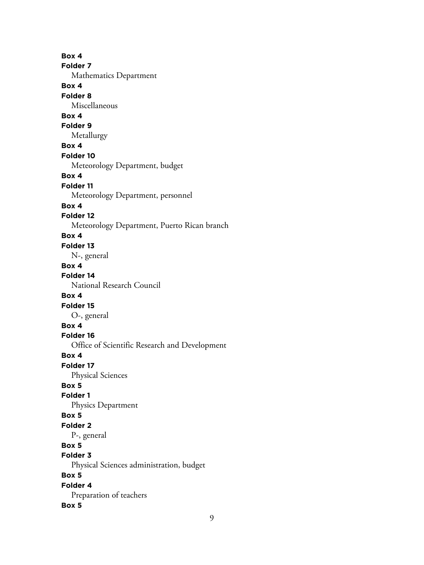**Box 4 Folder 7** Mathematics Department **Box 4 Folder 8** Miscellaneous **Box 4 Folder 9** Metallurgy **Box 4 Folder 10** Meteorology Department, budget **Box 4 Folder 11** Meteorology Department, personnel **Box 4 Folder 12** Meteorology Department, Puerto Rican branch **Box 4 Folder 13** N-, general **Box 4 Folder 14** National Research Council **Box 4 Folder 15** O-, general **Box 4 Folder 16** Office of Scientific Research and Development **Box 4 Folder 17** Physical Sciences **Box 5 Folder 1** Physics Department **Box 5 Folder 2** P-, general **Box 5 Folder 3** Physical Sciences administration, budget **Box 5 Folder 4** Preparation of teachers **Box 5**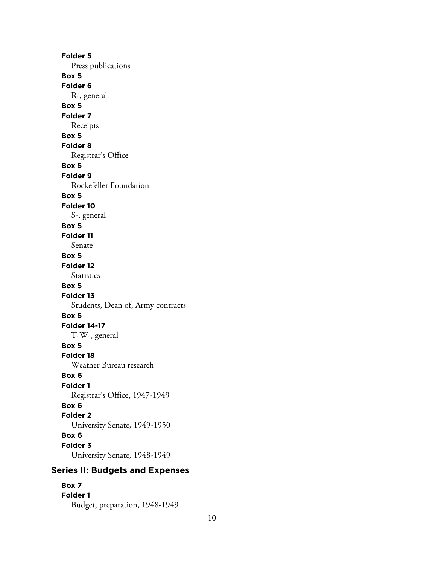**Folder 5** Press publications **Box 5 Folder 6** R-, general **Box 5 Folder 7** Receipts **Box 5 Folder 8** Registrar's Office **Box 5 Folder 9** Rockefeller Foundation **Box 5 Folder 10** S-, general **Box 5 Folder 11** Senate **Box 5 Folder 12 Statistics Box 5 Folder 13** Students, Dean of, Army contracts **Box 5 Folder 14-17** T-W-, general **Box 5 Folder 18** Weather Bureau research **Box 6 Folder 1** Registrar's Office, 1947-1949 **Box 6 Folder 2** University Senate, 1949-1950 **Box 6 Folder 3** University Senate, 1948-1949

# **Series II: Budgets and Expenses**

## **Box 7 Folder 1**

Budget, preparation, 1948-1949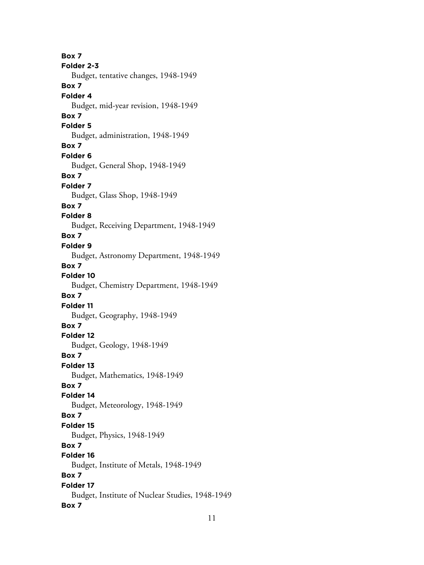**Box 7 Folder 2-3** Budget, tentative changes, 1948-1949 **Box 7 Folder 4** Budget, mid-year revision, 1948-1949 **Box 7 Folder 5** Budget, administration, 1948-1949 **Box 7 Folder 6** Budget, General Shop, 1948-1949 **Box 7 Folder 7** Budget, Glass Shop, 1948-1949 **Box 7 Folder 8** Budget, Receiving Department, 1948-1949 **Box 7 Folder 9** Budget, Astronomy Department, 1948-1949 **Box 7 Folder 10** Budget, Chemistry Department, 1948-1949 **Box 7 Folder 11** Budget, Geography, 1948-1949 **Box 7 Folder 12** Budget, Geology, 1948-1949 **Box 7 Folder 13** Budget, Mathematics, 1948-1949 **Box 7 Folder 14** Budget, Meteorology, 1948-1949 **Box 7 Folder 15** Budget, Physics, 1948-1949 **Box 7 Folder 16** Budget, Institute of Metals, 1948-1949 **Box 7 Folder 17** Budget, Institute of Nuclear Studies, 1948-1949 **Box 7**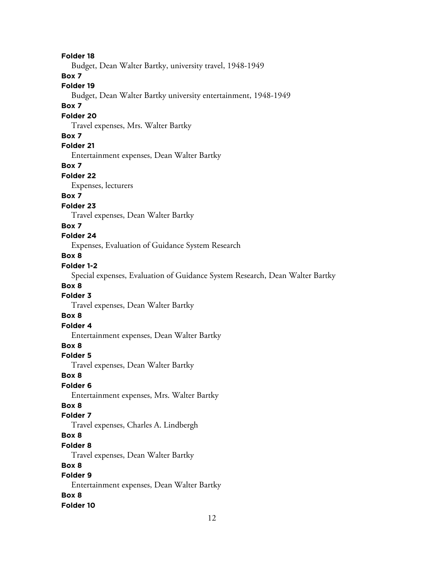**Folder 18**

Budget, Dean Walter Bartky, university travel, 1948-1949

**Box 7**

**Folder 19**

Budget, Dean Walter Bartky university entertainment, 1948-1949

#### **Box 7**

#### **Folder 20**

Travel expenses, Mrs. Walter Bartky

#### **Box 7**

**Folder 21**

Entertainment expenses, Dean Walter Bartky

#### **Box 7**

**Folder 22**

Expenses, lecturers

## **Box 7**

#### **Folder 23**

Travel expenses, Dean Walter Bartky

#### **Box 7**

#### **Folder 24**

Expenses, Evaluation of Guidance System Research

#### **Box 8**

#### **Folder 1-2**

Special expenses, Evaluation of Guidance System Research, Dean Walter Bartky

#### **Box 8**

#### **Folder 3**

Travel expenses, Dean Walter Bartky

#### **Box 8**

## **Folder 4**

Entertainment expenses, Dean Walter Bartky

## **Box 8**

#### **Folder 5**

Travel expenses, Dean Walter Bartky

#### **Box 8**

## **Folder 6**

Entertainment expenses, Mrs. Walter Bartky

#### **Box 8**

#### **Folder 7**

Travel expenses, Charles A. Lindbergh

#### **Box 8**

#### **Folder 8**

Travel expenses, Dean Walter Bartky

#### **Box 8**

# **Folder 9**

Entertainment expenses, Dean Walter Bartky

# **Box 8**

#### **Folder 10**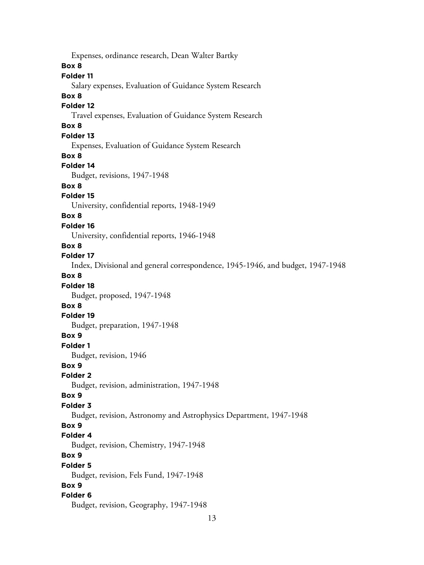Expenses, ordinance research, Dean Walter Bartky **Box 8 Folder 11** Salary expenses, Evaluation of Guidance System Research **Box 8 Folder 12** Travel expenses, Evaluation of Guidance System Research **Box 8 Folder 13** Expenses, Evaluation of Guidance System Research **Box 8 Folder 14** Budget, revisions, 1947-1948 **Box 8 Folder 15** University, confidential reports, 1948-1949 **Box 8 Folder 16** University, confidential reports, 1946-1948 **Box 8 Folder 17** Index, Divisional and general correspondence, 1945-1946, and budget, 1947-1948 **Box 8 Folder 18** Budget, proposed, 1947-1948 **Box 8 Folder 19** Budget, preparation, 1947-1948 **Box 9 Folder 1** Budget, revision, 1946 **Box 9 Folder 2** Budget, revision, administration, 1947-1948 **Box 9 Folder 3** Budget, revision, Astronomy and Astrophysics Department, 1947-1948 **Box 9 Folder 4** Budget, revision, Chemistry, 1947-1948 **Box 9 Folder 5** Budget, revision, Fels Fund, 1947-1948 **Box 9 Folder 6** Budget, revision, Geography, 1947-1948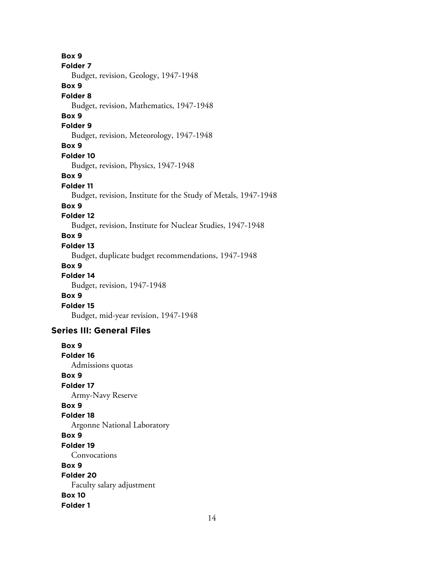**Box 9 Folder 7** Budget, revision, Geology, 1947-1948 **Box 9 Folder 8** Budget, revision, Mathematics, 1947-1948 **Box 9 Folder 9** Budget, revision, Meteorology, 1947-1948 **Box 9 Folder 10** Budget, revision, Physics, 1947-1948 **Box 9 Folder 11** Budget, revision, Institute for the Study of Metals, 1947-1948 **Box 9 Folder 12** Budget, revision, Institute for Nuclear Studies, 1947-1948 **Box 9 Folder 13** Budget, duplicate budget recommendations, 1947-1948 **Box 9 Folder 14** Budget, revision, 1947-1948 **Box 9 Folder 15** Budget, mid-year revision, 1947-1948 **Series III: General Files Box 9 Folder 16** Admissions quotas **Box 9 Folder 17** Army-Navy Reserve **Box 9 Folder 18** Argonne National Laboratory **Box 9 Folder 19** Convocations **Box 9 Folder 20** Faculty salary adjustment **Box 10 Folder 1**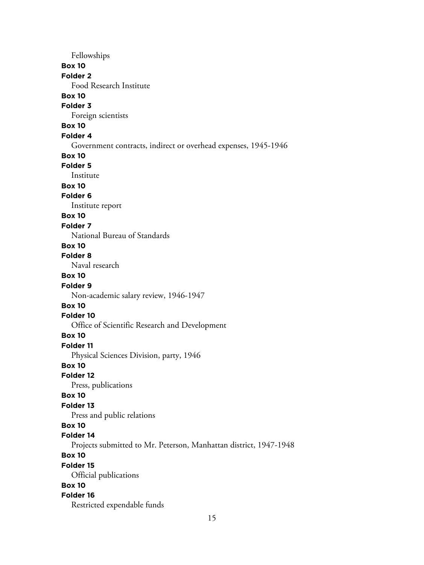Fellowships **Box 10 Folder 2** Food Research Institute **Box 10 Folder 3** Foreign scientists **Box 10 Folder 4** Government contracts, indirect or overhead expenses, 1945-1946 **Box 10 Folder 5** Institute **Box 10 Folder 6** Institute report **Box 10 Folder 7** National Bureau of Standards **Box 10 Folder 8** Naval research **Box 10 Folder 9** Non-academic salary review, 1946-1947 **Box 10 Folder 10** Office of Scientific Research and Development **Box 10 Folder 11** Physical Sciences Division, party, 1946 **Box 10 Folder 12** Press, publications **Box 10 Folder 13** Press and public relations **Box 10 Folder 14** Projects submitted to Mr. Peterson, Manhattan district, 1947-1948 **Box 10 Folder 15** Official publications **Box 10 Folder 16** Restricted expendable funds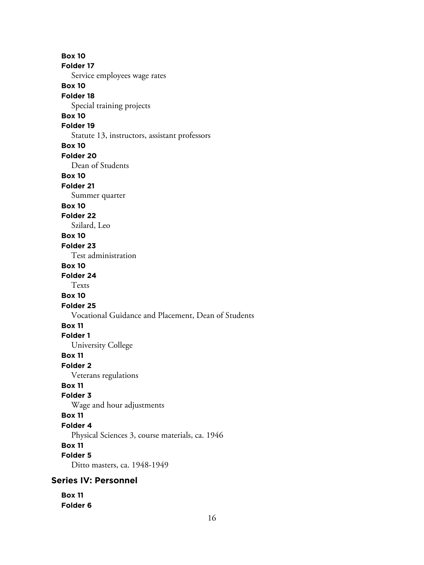**Box 10 Folder 17** Service employees wage rates **Box 10 Folder 18** Special training projects **Box 10 Folder 19** Statute 13, instructors, assistant professors **Box 10 Folder 20** Dean of Students **Box 10 Folder 21** Summer quarter **Box 10 Folder 22** Szilard, Leo **Box 10 Folder 23** Test administration **Box 10 Folder 24** Texts **Box 10 Folder 25** Vocational Guidance and Placement, Dean of Students **Box 11 Folder 1** University College **Box 11 Folder 2** Veterans regulations **Box 11 Folder 3** Wage and hour adjustments **Box 11 Folder 4** Physical Sciences 3, course materials, ca. 1946 **Box 11 Folder 5** Ditto masters, ca. 1948-1949 **Series IV: Personnel Box 11**

**Folder 6**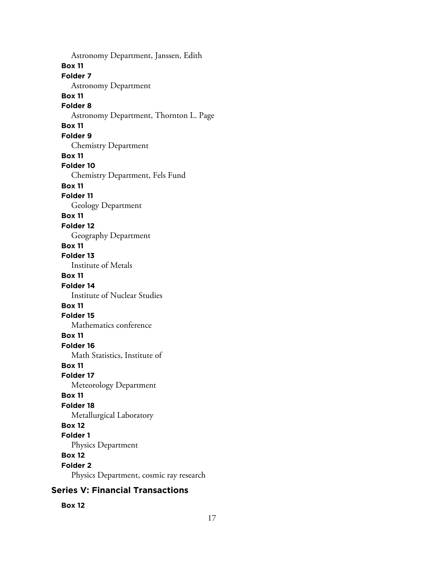Astronomy Department, Janssen, Edith **Box 11 Folder 7** Astronomy Department **Box 11 Folder 8** Astronomy Department, Thornton L. Page **Box 11 Folder 9** Chemistry Department **Box 11 Folder 10** Chemistry Department, Fels Fund **Box 11 Folder 11** Geology Department **Box 11 Folder 12** Geography Department **Box 11 Folder 13** Institute of Metals **Box 11 Folder 14** Institute of Nuclear Studies **Box 11 Folder 15** Mathematics conference **Box 11 Folder 16** Math Statistics, Institute of **Box 11 Folder 17** Meteorology Department **Box 11 Folder 18** Metallurgical Laboratory **Box 12 Folder 1** Physics Department **Box 12 Folder 2** Physics Department, cosmic ray research

## **Series V: Financial Transactions**

**Box 12**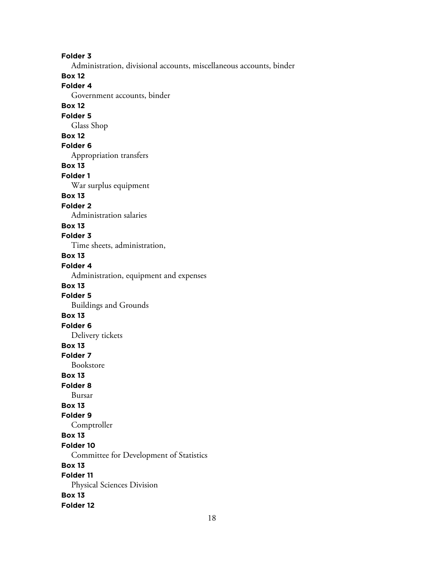**Folder 3** Administration, divisional accounts, miscellaneous accounts, binder **Box 12 Folder 4** Government accounts, binder **Box 12 Folder 5** Glass Shop **Box 12 Folder 6** Appropriation transfers **Box 13 Folder 1** War surplus equipment **Box 13 Folder 2** Administration salaries **Box 13 Folder 3** Time sheets, administration, **Box 13 Folder 4** Administration, equipment and expenses **Box 13 Folder 5** Buildings and Grounds **Box 13 Folder 6** Delivery tickets **Box 13 Folder 7** Bookstore **Box 13 Folder 8** Bursar **Box 13 Folder 9** Comptroller **Box 13 Folder 10** Committee for Development of Statistics **Box 13 Folder 11** Physical Sciences Division **Box 13 Folder 12**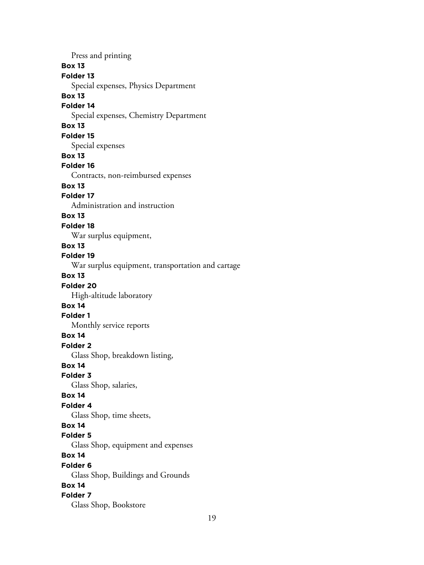Press and printing **Box 13 Folder 13** Special expenses, Physics Department **Box 13 Folder 14** Special expenses, Chemistry Department **Box 13 Folder 15** Special expenses **Box 13 Folder 16** Contracts, non-reimbursed expenses **Box 13 Folder 17** Administration and instruction **Box 13 Folder 18** War surplus equipment, **Box 13 Folder 19** War surplus equipment, transportation and cartage **Box 13 Folder 20** High-altitude laboratory **Box 14 Folder 1** Monthly service reports **Box 14 Folder 2** Glass Shop, breakdown listing, **Box 14 Folder 3** Glass Shop, salaries, **Box 14 Folder 4** Glass Shop, time sheets, **Box 14 Folder 5** Glass Shop, equipment and expenses **Box 14 Folder 6** Glass Shop, Buildings and Grounds **Box 14 Folder 7** Glass Shop, Bookstore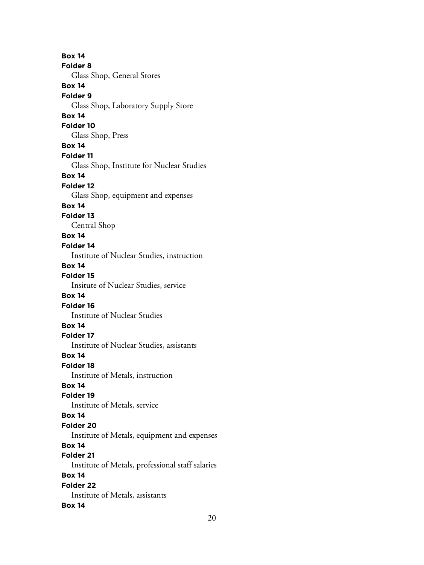**Box 14 Folder 8** Glass Shop, General Stores **Box 14 Folder 9** Glass Shop, Laboratory Supply Store **Box 14 Folder 10** Glass Shop, Press **Box 14 Folder 11** Glass Shop, Institute for Nuclear Studies **Box 14 Folder 12** Glass Shop, equipment and expenses **Box 14 Folder 13** Central Shop **Box 14 Folder 14** Institute of Nuclear Studies, instruction **Box 14 Folder 15** Insitute of Nuclear Studies, service **Box 14 Folder 16** Institute of Nuclear Studies **Box 14 Folder 17** Institute of Nuclear Studies, assistants **Box 14 Folder 18** Institute of Metals, instruction **Box 14 Folder 19** Institute of Metals, service **Box 14 Folder 20** Institute of Metals, equipment and expenses **Box 14 Folder 21** Institute of Metals, professional staff salaries **Box 14 Folder 22** Institute of Metals, assistants **Box 14**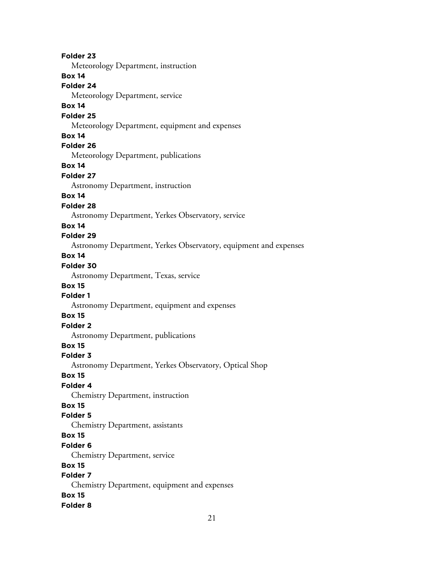**Folder 23** Meteorology Department, instruction **Box 14 Folder 24** Meteorology Department, service **Box 14 Folder 25** Meteorology Department, equipment and expenses **Box 14 Folder 26** Meteorology Department, publications **Box 14 Folder 27** Astronomy Department, instruction **Box 14 Folder 28** Astronomy Department, Yerkes Observatory, service **Box 14 Folder 29** Astronomy Department, Yerkes Observatory, equipment and expenses **Box 14 Folder 30** Astronomy Department, Texas, service **Box 15 Folder 1** Astronomy Department, equipment and expenses **Box 15 Folder 2** Astronomy Department, publications **Box 15 Folder 3** Astronomy Department, Yerkes Observatory, Optical Shop **Box 15 Folder 4** Chemistry Department, instruction **Box 15 Folder 5** Chemistry Department, assistants **Box 15 Folder 6** Chemistry Department, service **Box 15 Folder 7** Chemistry Department, equipment and expenses **Box 15 Folder 8**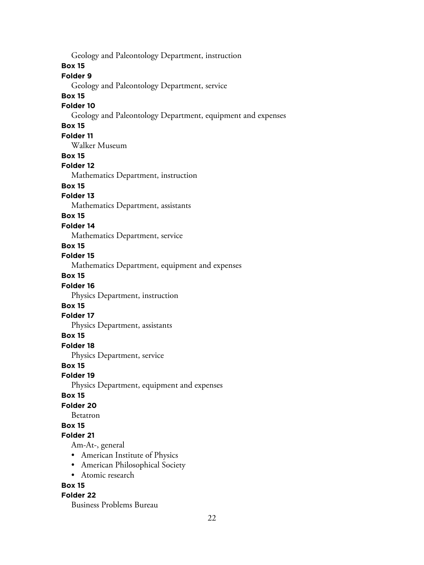**Box 15 Folder 9** Geology and Paleontology Department, service **Box 15 Folder 10** Geology and Paleontology Department, equipment and expenses **Box 15 Folder 11** Walker Museum **Box 15 Folder 12** Mathematics Department, instruction **Box 15 Folder 13** Mathematics Department, assistants **Box 15 Folder 14** Mathematics Department, service **Box 15 Folder 15** Mathematics Department, equipment and expenses **Box 15 Folder 16** Physics Department, instruction **Box 15 Folder 17** Physics Department, assistants **Box 15 Folder 18** Physics Department, service **Box 15 Folder 19** Physics Department, equipment and expenses **Box 15 Folder 20** Betatron **Box 15 Folder 21** Am-At-, general • American Institute of Physics • American Philosophical Society • Atomic research **Box 15**

Geology and Paleontology Department, instruction

#### **Folder 22**

Business Problems Bureau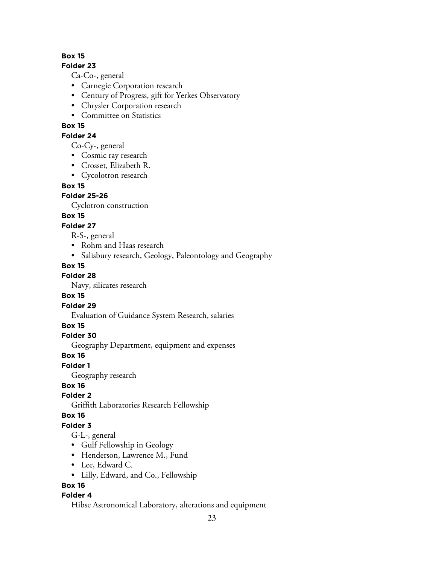## **Box 15**

#### **Folder 23**

Ca-Co-, general

- Carnegie Corporation research
- Century of Progress, gift for Yerkes Observatory
- Chrysler Corporation research
- Committee on Statistics

## **Box 15**

## **Folder 24**

Co-Cy-, general

- Cosmic ray research
- Crosset, Elizabeth R.
- Cycolotron research

## **Box 15**

## **Folder 25-26**

Cyclotron construction

## **Box 15**

## **Folder 27**

R-S-, general

- Rohm and Haas research
- Salisbury research, Geology, Paleontology and Geography

## **Box 15**

**Folder 28**

Navy, silicates research

## **Box 15**

**Folder 29**

Evaluation of Guidance System Research, salaries

#### **Box 15**

**Folder 30**

Geography Department, equipment and expenses

#### **Box 16**

**Folder 1**

Geography research

**Box 16**

#### **Folder 2**

Griffith Laboratories Research Fellowship

#### **Box 16**

## **Folder 3**

G-L-, general

- Gulf Fellowship in Geology
- Henderson, Lawrence M., Fund
- Lee, Edward C.
- Lilly, Edward, and Co., Fellowship

## **Box 16**

## **Folder 4**

Hibse Astronomical Laboratory, alterations and equipment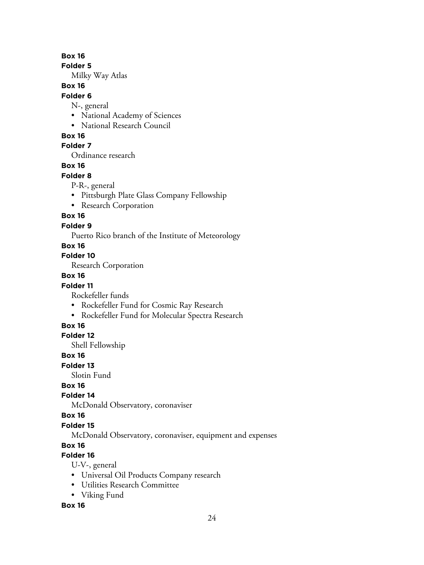**Box 16**

**Folder 5**

Milky Way Atlas

#### **Box 16**

#### **Folder 6**

N-, general

- National Academy of Sciences
- National Research Council

## **Box 16**

## **Folder 7**

Ordinance research

## **Box 16**

#### **Folder 8**

- P-R-, general
- Pittsburgh Plate Glass Company Fellowship
- Research Corporation

## **Box 16**

## **Folder 9**

Puerto Rico branch of the Institute of Meteorology

## **Box 16**

## **Folder 10**

Research Corporation

## **Box 16**

## **Folder 11**

Rockefeller funds

- Rockefeller Fund for Cosmic Ray Research
- Rockefeller Fund for Molecular Spectra Research

## **Box 16**

#### **Folder 12**

Shell Fellowship

#### **Box 16**

**Folder 13**

Slotin Fund

## **Box 16**

## **Folder 14**

McDonald Observatory, coronaviser

#### **Box 16**

## **Folder 15**

McDonald Observatory, coronaviser, equipment and expenses

## **Box 16**

# **Folder 16**

U-V-, general

- Universal Oil Products Company research
- Utilities Research Committee
- Viking Fund

## **Box 16**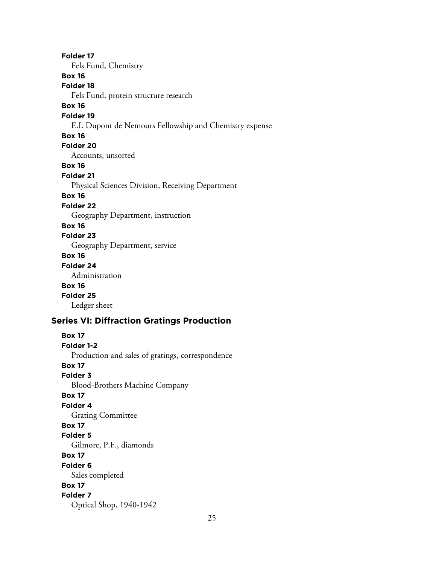**Folder 17** Fels Fund, Chemistry **Box 16 Folder 18** Fels Fund, protein structure research **Box 16 Folder 19** E.I. Dupont de Nemours Fellowship and Chemistry expense **Box 16 Folder 20** Accounts, unsorted **Box 16 Folder 21** Physical Sciences Division, Receiving Department **Box 16 Folder 22** Geography Department, instruction **Box 16 Folder 23** Geography Department, service **Box 16 Folder 24** Administration **Box 16 Folder 25** Ledger sheet **Series VI: Diffraction Gratings Production Box 17**

**Folder 1-2** Production and sales of gratings, correspondence **Box 17 Folder 3** Blood-Brothers Machine Company **Box 17 Folder 4** Grating Committee **Box 17 Folder 5** Gilmore, P.F., diamonds **Box 17 Folder 6** Sales completed **Box 17 Folder 7** Optical Shop, 1940-1942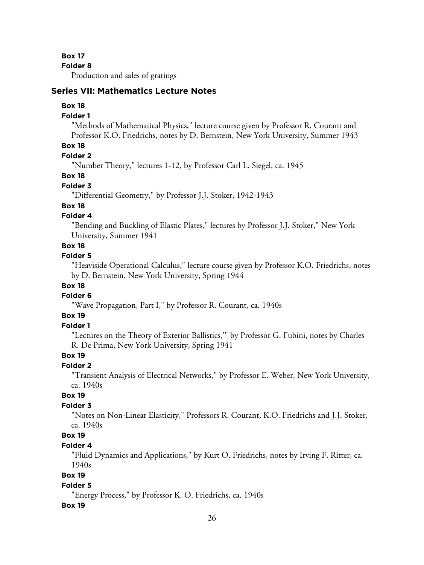**Box 17**

**Folder 8**

Production and sales of gratings

## **Series VII: Mathematics Lecture Notes**

#### **Box 18**

#### **Folder 1**

"Methods of Mathematical Physics," lecture course given by Professor R. Courant and Professor K.O. Friedrichs, notes by D. Bernstein, New York University, Summer 1943

## **Box 18**

#### **Folder 2**

"Number Theory," lectures 1-12, by Professor Carl L. Siegel, ca. 1945

#### **Box 18**

#### **Folder 3**

"Differential Geometry," by Professor J.J. Stoker, 1942-1943

#### **Box 18**

#### **Folder 4**

"Bending and Buckling of Elastic Plates," lectures by Professor J.J. Stoker," New York University, Summer 1941

#### **Box 18**

#### **Folder 5**

"Heaviside Operational Calculus," lecture course given by Professor K.O. Friedrichs, notes by D. Bernstein, New York University, Spring 1944

#### **Box 18**

#### **Folder 6**

"Wave Propagation, Part I," by Professor R. Courant, ca. 1940s

## **Box 19**

#### **Folder 1**

"Lectures on the Theory of Exterior Ballistics,'" by Professor G. Fubini, notes by Charles R. De Prima, New York University, Spring 1941

#### **Box 19**

#### **Folder 2**

"Transient Analysis of Electrical Networks," by Professor E. Weber, New York University, ca. 1940s

#### **Box 19**

#### **Folder 3**

"Notes on Non-Linear Elasticity," Professors R. Courant, K.O. Friedrichs and J.J. Stoker, ca. 1940s

## **Box 19**

#### **Folder 4**

"Fluid Dynamics and Applications," by Kurt O. Friedrichs, notes by Irving F. Ritter, ca. 1940s

## **Box 19**

#### **Folder 5**

"Energy Process," by Professor K. O. Friedrichs, ca. 1940s

#### **Box 19**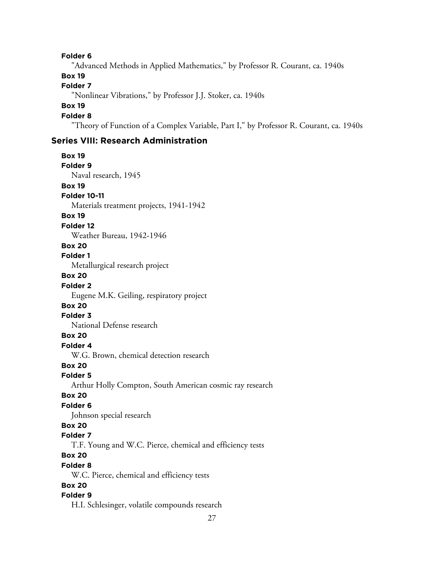**Folder 6**

"Advanced Methods in Applied Mathematics," by Professor R. Courant, ca. 1940s

## **Box 19**

## **Folder 7**

"Nonlinear Vibrations," by Professor J.J. Stoker, ca. 1940s

## **Box 19**

## **Folder 8**

"Theory of Function of a Complex Variable, Part I," by Professor R. Courant, ca. 1940s

## **Series VIII: Research Administration**

**Box 19 Folder 9** Naval research, 1945 **Box 19 Folder 10-11** Materials treatment projects, 1941-1942 **Box 19 Folder 12** Weather Bureau, 1942-1946 **Box 20 Folder 1** Metallurgical research project **Box 20 Folder 2** Eugene M.K. Geiling, respiratory project **Box 20 Folder 3** National Defense research **Box 20 Folder 4** W.G. Brown, chemical detection research **Box 20 Folder 5** Arthur Holly Compton, South American cosmic ray research **Box 20 Folder 6** Johnson special research **Box 20 Folder 7** T.F. Young and W.C. Pierce, chemical and efficiency tests **Box 20 Folder 8** W.C. Pierce, chemical and efficiency tests **Box 20 Folder 9** H.I. Schlesinger, volatile compounds research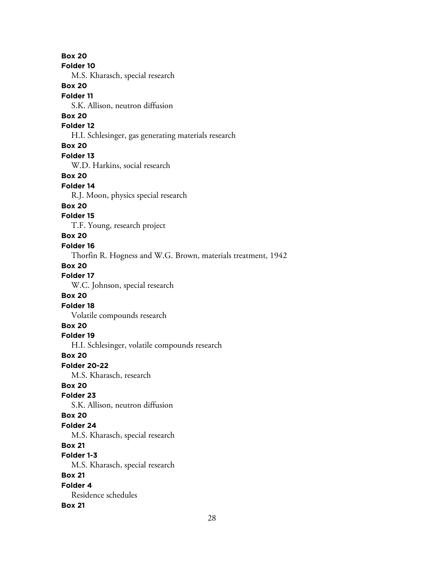**Box 20 Folder 10** M.S. Kharasch, special research **Box 20 Folder 11** S.K. Allison, neutron diffusion **Box 20 Folder 12** H.I. Schlesinger, gas generating materials research **Box 20 Folder 13** W.D. Harkins, social research **Box 20 Folder 14** R.J. Moon, physics special research **Box 20 Folder 15** T.F. Young, research project **Box 20 Folder 16** Thorfin R. Hogness and W.G. Brown, materials treatment, 1942 **Box 20 Folder 17** W.C. Johnson, special research **Box 20 Folder 18** Volatile compounds research **Box 20 Folder 19** H.I. Schlesinger, volatile compounds research **Box 20 Folder 20-22** M.S. Kharasch, research **Box 20 Folder 23** S.K. Allison, neutron diffusion **Box 20 Folder 24** M.S. Kharasch, special research **Box 21 Folder 1-3** M.S. Kharasch, special research **Box 21 Folder 4** Residence schedules **Box 21**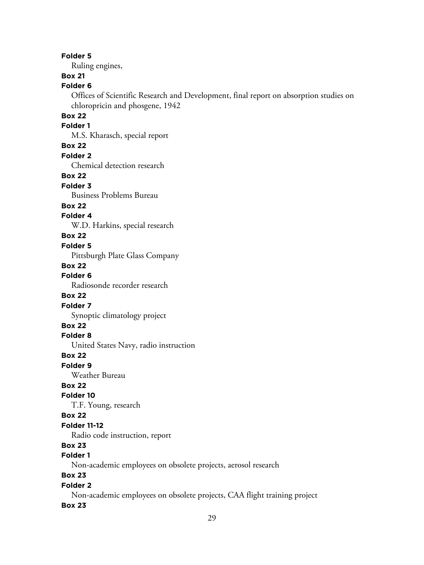#### **Folder 5**

Ruling engines,

# **Box 21**

**Folder 6**

Offices of Scientific Research and Development, final report on absorption studies on chloropricin and phosgene, 1942

## **Box 22**

## **Folder 1**

M.S. Kharasch, special report

#### **Box 22**

**Folder 2**

Chemical detection research

#### **Box 22**

**Folder 3**

Business Problems Bureau

## **Box 22**

#### **Folder 4**

W.D. Harkins, special research

#### **Box 22**

## **Folder 5**

Pittsburgh Plate Glass Company

#### **Box 22**

**Folder 6**

Radiosonde recorder research

## **Box 22**

**Folder 7**

Synoptic climatology project

## **Box 22**

## **Folder 8**

United States Navy, radio instruction

#### **Box 22**

#### **Folder 9**

Weather Bureau

## **Box 22**

## **Folder 10**

T.F. Young, research

#### **Box 22**

#### **Folder 11-12**

Radio code instruction, report

## **Box 23**

# **Folder 1**

Non-academic employees on obsolete projects, aerosol research

## **Box 23**

## **Folder 2**

Non-academic employees on obsolete projects, CAA flight training project

#### **Box 23**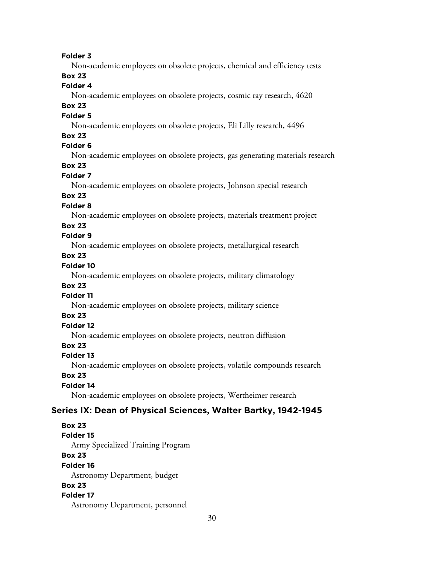#### **Folder 3**

Non-academic employees on obsolete projects, chemical and efficiency tests

## **Box 23**

## **Folder 4**

Non-academic employees on obsolete projects, cosmic ray research, 4620

## **Box 23**

## **Folder 5**

Non-academic employees on obsolete projects, Eli Lilly research, 4496

## **Box 23**

## **Folder 6**

Non-academic employees on obsolete projects, gas generating materials research

# **Box 23**

## **Folder 7**

Non-academic employees on obsolete projects, Johnson special research

## **Box 23**

## **Folder 8**

Non-academic employees on obsolete projects, materials treatment project

## **Box 23**

## **Folder 9**

Non-academic employees on obsolete projects, metallurgical research

# **Box 23**

## **Folder 10**

Non-academic employees on obsolete projects, military climatology

#### **Box 23**

## **Folder 11**

Non-academic employees on obsolete projects, military science

# **Box 23**

# **Folder 12**

Non-academic employees on obsolete projects, neutron diffusion

## **Box 23**

#### **Folder 13**

Non-academic employees on obsolete projects, volatile compounds research

## **Box 23**

## **Folder 14**

Non-academic employees on obsolete projects, Wertheimer research

## **Series IX: Dean of Physical Sciences, Walter Bartky, 1942-1945**

#### **Box 23**

**Folder 15**

Army Specialized Training Program

## **Box 23**

#### **Folder 16**

Astronomy Department, budget

## **Box 23**

#### **Folder 17**

Astronomy Department, personnel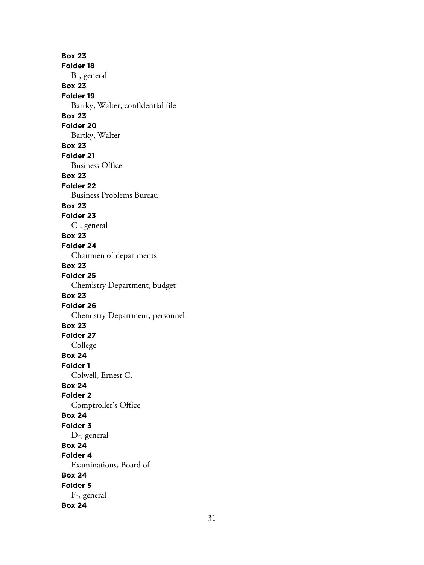**Box 23 Folder 18** B-, general **Box 23 Folder 19** Bartky, Walter, confidential file **Box 23 Folder 20** Bartky, Walter **Box 23 Folder 21** Business Office **Box 23 Folder 22** Business Problems Bureau **Box 23 Folder 23** C-, general **Box 23 Folder 24** Chairmen of departments **Box 23 Folder 25** Chemistry Department, budget **Box 23 Folder 26** Chemistry Department, personnel **Box 23 Folder 27** College **Box 24 Folder 1** Colwell, Ernest C. **Box 24 Folder 2** Comptroller's Office **Box 24 Folder 3** D-, general **Box 24 Folder 4** Examinations, Board of **Box 24 Folder 5** F-, general **Box 24**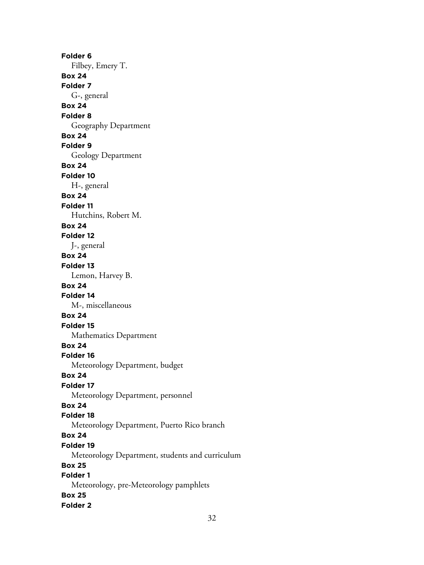**Folder 6** Filbey, Emery T. **Box 24 Folder 7** G-, general **Box 24 Folder 8** Geography Department **Box 24 Folder 9** Geology Department **Box 24 Folder 10** H-, general **Box 24 Folder 11** Hutchins, Robert M. **Box 24 Folder 12** J-, general **Box 24 Folder 13** Lemon, Harvey B. **Box 24 Folder 14** M-, miscellaneous **Box 24 Folder 15** Mathematics Department **Box 24 Folder 16** Meteorology Department, budget **Box 24 Folder 17** Meteorology Department, personnel **Box 24 Folder 18** Meteorology Department, Puerto Rico branch **Box 24 Folder 19** Meteorology Department, students and curriculum **Box 25 Folder 1** Meteorology, pre-Meteorology pamphlets **Box 25 Folder 2**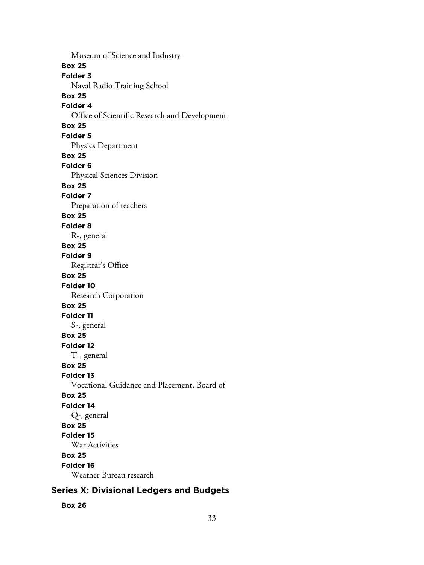Museum of Science and Industry **Box 25 Folder 3** Naval Radio Training School **Box 25 Folder 4** Office of Scientific Research and Development **Box 25 Folder 5** Physics Department **Box 25 Folder 6** Physical Sciences Division **Box 25 Folder 7** Preparation of teachers **Box 25 Folder 8** R-, general **Box 25 Folder 9** Registrar's Office **Box 25 Folder 10** Research Corporation **Box 25 Folder 11** S-, general **Box 25 Folder 12** T-, general **Box 25 Folder 13** Vocational Guidance and Placement, Board of **Box 25 Folder 14** Q-, general **Box 25 Folder 15** War Activities **Box 25 Folder 16** Weather Bureau research

# **Series X: Divisional Ledgers and Budgets**

#### **Box 26**